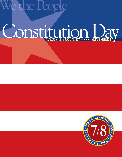# We the People

# ODSULTION DAY

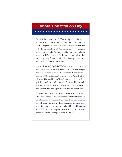# About Constitution Day

★ ★ ★ ★ ★ ★ ★ ★ ★ ★ ★ ★ ★ ★ ★ ★ ★ ★ ★ ★

In 1952, President Harry S. Truman signed a bill that moved "I Am an American Day" from the third Sunday in May to September 17 so that this holiday would coincide with the signing of the U.S. Constitution in 1787. Congress renamed the holiday "Citizenship Day." A joint resolution passed in 1956 requested the President to proclaim the week beginning September 17 and ending September 23 each year as "Constitution Week."

Senator Robert C. Byrd (D-WV) entered an amendment to the Consolidated Appropriations Act of 2005 that changed the name of the September 17 holiday to "Constitution Day and Citizenship Day." The purpose of "Constitution Day and Citizenship Day" is to honor and celebrate the privileges and responsibilities of U.S. citizenship for both native-born and naturalized citizens, while commemorating the creation and signing of the supreme law of our land.

The addition of the amendment, known as Public Law 108-477, requires all schools that receive federal funds hold an educational program for their students on September 17 of each year. This lesson, which is adapted from curricular materials on the Constitution produced by th[e Center for](http://www.civiced.org) [Civic Education,](http://www.civiced.org) is designed to assist schools and federal agencies to meet the requirements of this law.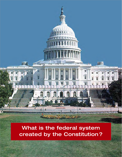What is the federal system created by the Constitution ?

150000000

 $\overline{\mathbf{H}}$ 

m

Å

**ANGELIA BER** 

ĪĪ.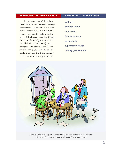#### PURPOSE OF THE LESSON | TERMS TO UNDERSTAND

In this lesson you will learn how the Constitution established a new way to organize a government. It is called a federal system. When you finish this lesson, you should be able to explain what a federal system is and how it differs from other forms of government. You should also be able to identify some strengths and weaknesses of a federal system. Finally, you should be able to explain why you think the Framers created such a system of government.

**authority confederation federalism federal system sovereignty supremacy clause unitary government**



*The men who worked together to create our Constitution are known as the Framers. Why do you think they wanted to create a new type of government?*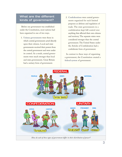# What are the different kinds of government?

Before our government was established under the Constitution, most nations had been organized in one of two ways.

- 1. **Unitary governments** were those in which central governments acted directly upon their citizens. Local and state governments received their powers from the central government and were under its control. As a result, central governments were much stronger than local and state governments. Great Britain had a unitary form of government.
- 2. **Confederations** were central governments organized for such limited purposes as defense and regulation of trade. The state governments in a confederation kept full control over anything that affected their own citizens and territory. The separate states were considered stronger than the central government. The United States under the Articles of Confederation had a confederate form of government.

In contrast to these ways of organizing a government, the Constitution created a **federal system** of government.



*How do each of these types of government differ in their distribution of power?*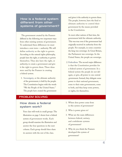# How is a federal system different from other systems of government?

The government created by the Framers differed in the following two important ways from other existing systems of government. To understand these differences we must introduce a new term — authority. We will define **authority** as the right to govern. According to the natural rights philosophy, people have the right, or authority, to govern themselves. They also have the right, or authority, to create a government and give it the right to govern them. These ideas were used by the Framers in creating a federal system.

1. **Sovereignty**, or the ultimate authority of the government, is held by the people. The Constitution begins with the words "We the People of the United States." The people have created the government and given it the authority to govern them. The people, however, have the final or ultimate authority to control their government by the means provided in the Constitution.

In most other nations of that time, the government held the ultimate authority. This was true even if the government had originally received its authority from the people. For example, in some countries the king was sovereign. In Great Britain, the Parliament was sovereign. In the United States, the people are sovereign.

2. **Federalism**. The second major difference is that the Constitution provides for a federal system of government. In a federal system the people do not delegate, or give, all power to one central government. Instead, they delegate some power to their national government, some to their state governments, some to both, and they keep some powers, or rights, for themselves.

#### PROBLEM SOLVING

# How does a federal system work?

Your class will work in small groups. The illustration on page 3 shows how a federal system of government works. Each group should examine the illustration and answer the four questions in the next column. Each group should then share its answers with the rest of the class.

- 1. Where does power come from in this system of government?
- 2. Who is power given to?
- 3. What are the main differences between federal, unitary, and confederate systems of government?
- 4. Why do you think the Framers developed this system of government?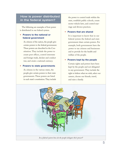# How is power distributed in the federal system?

The following are examples of how power is distributed in our federal system.

#### **• Powers to the national or federal government**

As citizens of the nation, the people give certain powers to the federal government. These powers are described in the Constitution. They include the power to create post offices, control interstate and foreign trade, declare and conduct war, and create a national currency.

#### **• Powers to state governments**

As citizens in the various states, the people give certain powers to their state governments. These powers are listed in each state's constitution. They include the power to control trade within the state, establish public schools, create motor vehicle laws, and control marriage and divorce practices.

#### **• Powers that are shared**

It is important to know that in our federal system the federal and state government share certain powers. For example, both governments have the power to tax citizens and businesses and to provide for the health and welfare of the people.

#### **• Powers kept by the people**

Certain rights and powers have been kept by the people and not delegated to any government. They include the right to believe what we wish, select our careers, choose our friends, travel, and raise a family.

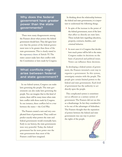Why does the federal government have greater power than the state governments?

There were many disagreements among the Framers about what powers the federal government should have. They did agree however that the powers of the federal government were to be greater than those of the state governments. This is clearly stated in the **supremacy clause** of Article VI. The states cannot make laws that conflict with the Constitution or laws made by Congress.

# What conflicts might arise between federal and state government?

In our federal system, Congress can make laws governing the people. The state governments can also make laws governing the people. You can imagine that in this kind of system, there will be many times when state laws conflict with those made by Congress. In one instance, these conflicts led to a war between the states — the Civil War.

The Framers created a new and very complicated form of government. They could not predict exactly what powers the state and federal governments would eventually have. Early in our history, the state governments were very powerful. Today, the federal government has far more power over the state governments than most of the Framers could have imagined.

In thinking about the relationship between the federal and state governments, it is important to understand the following things.

- **•** In spite of the increase in the power of the federal government, most of the laws that affect us directly are state laws. These include laws regarding education, property, contracts, families, and criminal behavior.
- **•** In most cases it is Congress that decides how much power will be left to the states. Congress makes its decisions on the basis of practical and political issues. Voters can influence these decisions.

In developing a federal system of government, the Framers invented a new way to organize a government. In this system, sovereignty remains with the people. The people give certain limited powers to the federal and state governments. Each level of government has the authority to act directly upon the people.

This complicated system is sometimes not as efficient as a unitary system of government. The Framers did not see this as a disadvantage. In fact they considered it to be one of the advantages of federalism. The Framers thought that the separation of powers between the federal and state governments was one way to protect the rights of the people.

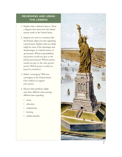# REVIEWING AND USING THE LESSON

- 1. Explain what a federal system is. Draw a diagram that shows how the federal system works in the United States.
- 2. Suppose you were in a situation, like the Framers, where you were organizing a government. Explain what you think might be some of the advantages and disadvantages of a federal system of government. Which responsibilities and powers would you give to the federal government? Which powers would you give to the state governments? Which powers would you keep for yourselves?
- 3. Define "sovereignty." Who has sovereignty in the United States? Give evidence to support your answer.
- 4. Discuss what problems might arise from different states passing different laws regarding:
	- **•** crime
	- **•** education
	- **•** employment
	- **•** housing
	- **•** welfare benefits

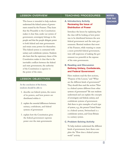#### LESSON OVERVIEW

This lesson is intended to help students understand the federal system of government created by the Framers. They learn that the Preamble to the Constitution makes it clear that, under our system of government, sovereignty belongs to the people and that the people delegate power to both federal and state governments and retain some powers for themselves. This federal system is contrasted with unitary and confederate systems. Students also learn that the supremacy clause of the Constitution makes it clear that in the inevitable conflicts between the federal and state governments, the authority of the Constitution is superior to the power of the states.

#### LESSON OBJECTIVES

**At the conclusion of the lesson, students should be able to**

- 1. describe our federal system, the source of its powers, and how powers are distributed within it
- 2. explain the essential differences between unitary, confederate, and federal systems of government
- 3. explain how the Constitution gives the federal government supreme power over the state governments

#### TEACHING PROCEDURES

#### **A. Introductory Activity Reviewing the Issue of Distribution of Power**

Introduce the lesson by explaining that the class will be looking at how power was to be distributed between the new federal government and the state governments. Remind students that most of the Framers, while wanting to create a more powerful federal government, were still suspicious of making the government too powerful at the expense of the state governments.

#### **B. Reading and Discussion Defining Unitary, Confederate, and Federal Government**

Have students read the first sections, "Purpose of the Lesson," and "What are the different kinds of government?" They should then read the section "How is a federal system different from other systems of government?" Be sure students understand and can explain the concepts of sovereignty and federal, unitary, and confederate systems of government. Ask them to give examples of each type of system, e.g., the present United States is a federal system, Switzerland is a confederate system, and Great Britain is a unitary system.

#### **C. Problem-Solving Activity**

To help students understand the different kinds of government, have them complete the "How does a federal system work?" activity.

**NOTES FOR THE TEACHER**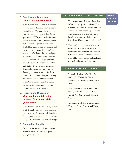#### **D. Reading and Discussion Understanding Federalism**

Have students read the next two sections, "How is power distributed in the federal system?" and "Why does the federal government have greater power than the state governments?" The term "federal system" (federalism) is a form of political organization in which governmental power is divided between a central government and territorial subdivisions. The term "federal government" refers to the national government of the United States. Be sure they understand that the people are the ultimate source of power in our system and that in the Constitution they have delegated some power to the state and federal governments and retained some powers for themselves. Also, be sure they understand that the supremacy clause of the Constitution places the federal government in a position of superior power over state governments.

### **E. Reading and Discussion What conflicts might arise between federal and state government ?**

Have students read the last section, "What conflicts might arise between federal and state government?". Discuss with them how the complexity of the federal system was thought by the Framers to be an advantage.

#### **F. Concluding Activity**

Conclude the lesson with a discussion of the questions in "Reviewing and Using the Lesson."

#### SUPPLEMENTAL ACTIVITIES

- 1. This lesson states that most laws that affect us directly are state laws. Have students keep track of their actions and activities for one school day. How were their actions or activities affected by laws? How many are federal laws? State laws? City or county ordinances?
- 2. Have students check newspapers for examples of issues that illustrate controversies over the division of power between the state and federal governments. Have them make a bulletin board of articles illustrating these issues.

#### ADDITIONAL READINGS

Bernstein, Richard. *Are We to Be a Nation? Making of the Constitution.* Cambridge: Harvard University Press, 1987.

Levy, Leonard W., ed. *Essays on the Making of the Constitution*. 1987 Reprint. New York: Oxford University Press.

Van Doren, Carl. *The Great Rehearsal.* Westport, Conn.: Greenwood Press, 1982.

**NOTES FOR THE TEACHER**